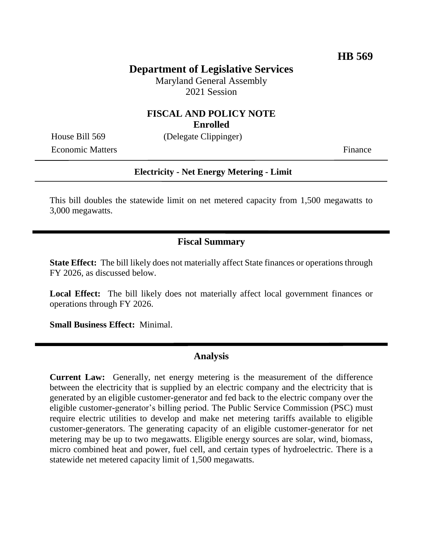# **Department of Legislative Services**

Maryland General Assembly 2021 Session

#### **FISCAL AND POLICY NOTE Enrolled**

House Bill 569 (Delegate Clippinger)

Economic Matters Finance

#### **Electricity - Net Energy Metering - Limit**

This bill doubles the statewide limit on net metered capacity from 1,500 megawatts to 3,000 megawatts.

### **Fiscal Summary**

**State Effect:** The bill likely does not materially affect State finances or operations through FY 2026, as discussed below.

**Local Effect:** The bill likely does not materially affect local government finances or operations through FY 2026.

**Small Business Effect:** Minimal.

### **Analysis**

**Current Law:** Generally, net energy metering is the measurement of the difference between the electricity that is supplied by an electric company and the electricity that is generated by an eligible customer-generator and fed back to the electric company over the eligible customer-generator's billing period. The Public Service Commission (PSC) must require electric utilities to develop and make net metering tariffs available to eligible customer-generators. The generating capacity of an eligible customer-generator for net metering may be up to two megawatts. Eligible energy sources are solar, wind, biomass, micro combined heat and power, fuel cell, and certain types of hydroelectric. There is a statewide net metered capacity limit of 1,500 megawatts.